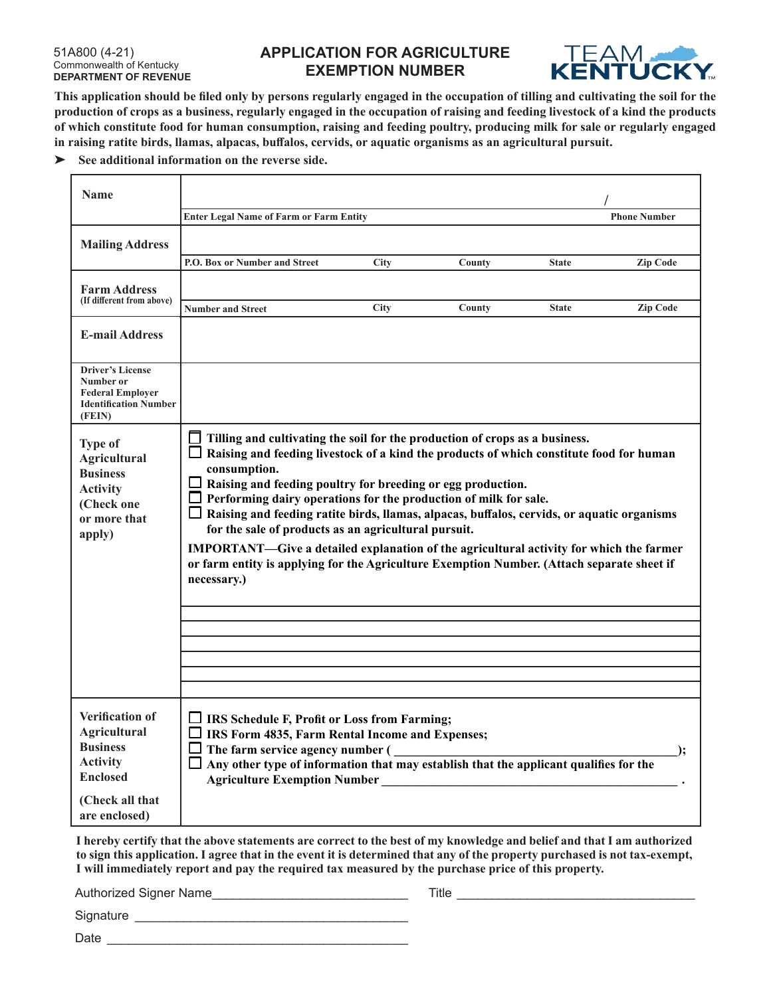## 51A800 (4-21) Commonwealth of Kentucky **DEPARTMENT OF REVENUE**

## **APPLICATION FOR AGRICULTURE EXEMPTION NUMBER**



**This application should be filed only by persons regularly engaged in the occupation of tilling and cultivating the soil for the production of crops as a business, regularly engaged in the occupation of raising and feeding livestock of a kind the products of which constitute food for human consumption, raising and feeding poultry, producing milk for sale or regularly engaged in raising ratite birds, llamas, alpacas, buffalos, cervids, or aquatic organisms as an agricultural pursuit.**

**See additional information on the reverse side.**

| <b>Name</b>                                                                                                                         |                                                                                                                                                                                                                                                                                                                                                                                                                                                                                                                                                                                                                                                                                                                                   |             |        |              |                     |  |
|-------------------------------------------------------------------------------------------------------------------------------------|-----------------------------------------------------------------------------------------------------------------------------------------------------------------------------------------------------------------------------------------------------------------------------------------------------------------------------------------------------------------------------------------------------------------------------------------------------------------------------------------------------------------------------------------------------------------------------------------------------------------------------------------------------------------------------------------------------------------------------------|-------------|--------|--------------|---------------------|--|
|                                                                                                                                     | <b>Enter Legal Name of Farm or Farm Entity</b>                                                                                                                                                                                                                                                                                                                                                                                                                                                                                                                                                                                                                                                                                    |             |        |              | <b>Phone Number</b> |  |
| <b>Mailing Address</b>                                                                                                              |                                                                                                                                                                                                                                                                                                                                                                                                                                                                                                                                                                                                                                                                                                                                   |             |        |              |                     |  |
|                                                                                                                                     | P.O. Box or Number and Street                                                                                                                                                                                                                                                                                                                                                                                                                                                                                                                                                                                                                                                                                                     | <b>City</b> | County | <b>State</b> | <b>Zip Code</b>     |  |
| <b>Farm Address</b><br>(If different from above)                                                                                    | <b>Number and Street</b>                                                                                                                                                                                                                                                                                                                                                                                                                                                                                                                                                                                                                                                                                                          | <b>City</b> | County | <b>State</b> | <b>Zip Code</b>     |  |
| <b>E-mail Address</b>                                                                                                               |                                                                                                                                                                                                                                                                                                                                                                                                                                                                                                                                                                                                                                                                                                                                   |             |        |              |                     |  |
| <b>Driver's License</b><br>Number or<br><b>Federal Employer</b><br><b>Identification Number</b><br>(FEIN)                           |                                                                                                                                                                                                                                                                                                                                                                                                                                                                                                                                                                                                                                                                                                                                   |             |        |              |                     |  |
| <b>Type of</b><br><b>Agricultural</b><br><b>Business</b><br><b>Activity</b><br>(Check one<br>or more that<br>apply)                 | $\Box$ Tilling and cultivating the soil for the production of crops as a business.<br>$\Box$ Raising and feeding livestock of a kind the products of which constitute food for human<br>consumption.<br>$\Box$ Raising and feeding poultry for breeding or egg production.<br>$\Box$ Performing dairy operations for the production of milk for sale.<br>$\Box$ Raising and feeding ratite birds, llamas, alpacas, buffalos, cervids, or aquatic organisms<br>for the sale of products as an agricultural pursuit.<br><b>IMPORTANT—Give a detailed explanation of the agricultural activity for which the farmer</b><br>or farm entity is applying for the Agriculture Exemption Number. (Attach separate sheet if<br>necessary.) |             |        |              |                     |  |
| Verification of<br><b>Agricultural</b><br><b>Business</b><br><b>Activity</b><br><b>Enclosed</b><br>(Check all that<br>are enclosed) | $\Box$ IRS Schedule F, Profit or Loss from Farming;<br>$\Box$ IRS Form 4835, Farm Rental Income and Expenses;<br>$\Box$ The farm service agency number (<br>$\Box$ Any other type of information that may establish that the applicant qualifies for the<br><b>Agriculture Exemption Number</b>                                                                                                                                                                                                                                                                                                                                                                                                                                   |             |        |              | <u>):</u>           |  |

**I hereby certify that the above statements are correct to the best of my knowledge and belief and that I am authorized to sign this application. I agree that in the event it is determined that any of the property purchased is not tax-exempt, I will immediately report and pay the required tax measured by the purchase price of this property.**

Authorized Signer Name\_\_\_\_\_\_\_\_\_\_\_\_\_\_\_\_\_\_\_\_\_\_\_\_\_\_\_\_ Title \_\_\_\_\_\_\_\_\_\_\_\_\_\_\_\_\_\_\_\_\_\_\_\_\_\_\_\_\_\_\_\_\_\_

Signature \_\_\_\_\_\_\_\_\_\_\_\_\_\_\_\_\_\_\_\_\_\_\_\_\_\_\_\_\_\_\_\_\_\_\_\_\_\_\_

Date \_\_\_\_\_\_\_\_\_\_\_\_\_\_\_\_\_\_\_\_\_\_\_\_\_\_\_\_\_\_\_\_\_\_\_\_\_\_\_\_\_\_\_